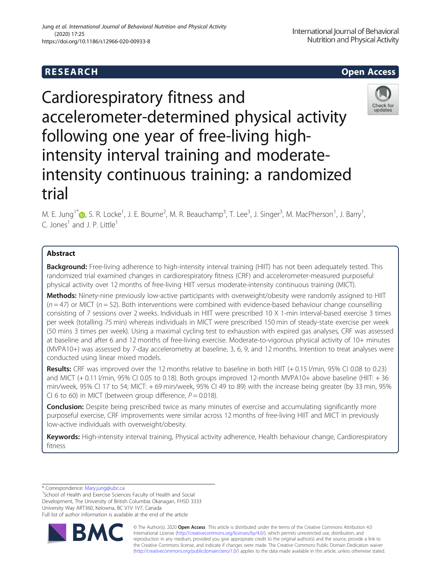# Cardiorespiratory fitness and accelerometer-determined physical activity following one year of free-living highintensity interval training and moderateintensity continuous training: a randomized trial

M. E. Jung<sup>1[\\*](http://orcid.org/0000-0002-2360-0952)</sup>®, S. R. Locke<sup>1</sup>, J. E. Bourne<sup>2</sup>, M. R. Beauchamp<sup>3</sup>, T. Lee<sup>3</sup>, J. Singer<sup>3</sup>, M. MacPherson<sup>1</sup>, J. Barry<sup>1</sup> ,  $C$  lones<sup>1</sup> and  $I$  P. Little<sup>1</sup>

# Abstract

**Background:** Free-living adherence to high-intensity interval training (HIIT) has not been adequately tested. This randomized trial examined changes in cardiorespiratory fitness (CRF) and accelerometer-measured purposeful physical activity over 12 months of free-living HIIT versus moderate-intensity continuous training (MICT).

Methods: Ninety-nine previously low-active participants with overweight/obesity were randomly assigned to HIIT  $(n = 47)$  or MICT ( $n = 52$ ). Both interventions were combined with evidence-based behaviour change counselling consisting of 7 sessions over 2 weeks. Individuals in HIIT were prescribed 10 X 1-min interval-based exercise 3 times per week (totalling 75 min) whereas individuals in MICT were prescribed 150 min of steady-state exercise per week (50 mins 3 times per week). Using a maximal cycling test to exhaustion with expired gas analyses, CRF was assessed at baseline and after 6 and 12 months of free-living exercise. Moderate-to-vigorous physical activity of 10+ minutes (MVPA10+) was assessed by 7-day accelerometry at baseline, 3, 6, 9, and 12 months. Intention to treat analyses were conducted using linear mixed models.

Results: CRF was improved over the 12 months relative to baseline in both HIIT (+0.15 l/min, 95% CI 0.08 to 0.23) and MICT (+ 0.11 l/min, 95% CI 0.05 to 0.18). Both groups improved 12-month MVPA10+ above baseline (HIIT: + 36 min/week, 95% CI 17 to 54; MICT: + 69 min/week, 95% CI 49 to 89) with the increase being greater (by 33 min, 95% CI 6 to 60) in MICT (between group difference,  $P = 0.018$ ).

**Conclusion:** Despite being prescribed twice as many minutes of exercise and accumulating significantly more purposeful exercise, CRF improvements were similar across 12 months of free-living HIIT and MICT in previously low-active individuals with overweight/obesity.

Keywords: High-intensity interval training, Physical activity adherence, Health behaviour change, Cardiorespiratory fitness

\* Correspondence: [Mary.jung@ubc.ca](mailto:Mary.jung@ubc.ca) <sup>1</sup>

<sup>1</sup>School of Health and Exercise Sciences Faculty of Health and Social Development, The University of British Columbia Okanagan, FHSD 3333 University Way ART360, Kelowna, BC V1V 1V7, Canada Full list of author information is available at the end of the article













© The Author(s). 2020 Open Access This article is distributed under the terms of the Creative Commons Attribution 4.0 International License [\(http://creativecommons.org/licenses/by/4.0/](http://creativecommons.org/licenses/by/4.0/)), which permits unrestricted use, distribution, and reproduction in any medium, provided you give appropriate credit to the original author(s) and the source, provide a link to the Creative Commons license, and indicate if changes were made. The Creative Commons Public Domain Dedication waiver [\(http://creativecommons.org/publicdomain/zero/1.0/](http://creativecommons.org/publicdomain/zero/1.0/)) applies to the data made available in this article, unless otherwise stated.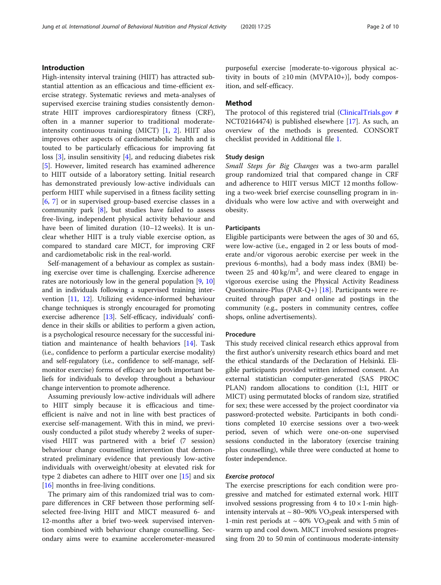# Introduction

High-intensity interval training (HIIT) has attracted substantial attention as an efficacious and time-efficient exercise strategy. Systematic reviews and meta-analyses of supervised exercise training studies consistently demonstrate HIIT improves cardiorespiratory fitness (CRF), often in a manner superior to traditional moderateintensity continuous training (MICT) [[1,](#page-9-0) [2](#page-9-0)]. HIIT also improves other aspects of cardiometabolic health and is touted to be particularly efficacious for improving fat loss [\[3](#page-9-0)], insulin sensitivity [[4\]](#page-9-0), and reducing diabetes risk [[5\]](#page-9-0). However, limited research has examined adherence to HIIT outside of a laboratory setting. Initial research has demonstrated previously low-active individuals can perform HIIT while supervised in a fitness facility setting [[6,](#page-9-0) [7\]](#page-9-0) or in supervised group-based exercise classes in a community park  $[8]$ , but studies have failed to assess free-living, independent physical activity behaviour and have been of limited duration (10–12 weeks). It is unclear whether HIIT is a truly viable exercise option, as compared to standard care MICT, for improving CRF and cardiometabolic risk in the real-world.

Self-management of a behaviour as complex as sustaining exercise over time is challenging. Exercise adherence rates are notoriously low in the general population [[9,](#page-9-0) [10](#page-9-0)] and in individuals following a supervised training intervention [[11](#page-9-0), [12](#page-9-0)]. Utilizing evidence-informed behaviour change techniques is strongly encouraged for promoting exercise adherence [\[13](#page-9-0)]. Self-efficacy, individuals' confidence in their skills or abilities to perform a given action, is a psychological resource necessary for the successful initiation and maintenance of health behaviors [\[14](#page-9-0)]. Task (i.e., confidence to perform a particular exercise modality) and self-regulatory (i.e., confidence to self-manage, selfmonitor exercise) forms of efficacy are both important beliefs for individuals to develop throughout a behaviour change intervention to promote adherence.

Assuming previously low-active individuals will adhere to HIIT simply because it is efficacious and timeefficient is naïve and not in line with best practices of exercise self-management. With this in mind, we previously conducted a pilot study whereby 2 weeks of supervised HIIT was partnered with a brief (7 session) behaviour change counselling intervention that demonstrated preliminary evidence that previously low-active individuals with overweight/obesity at elevated risk for type 2 diabetes can adhere to HIIT over one [\[15](#page-9-0)] and six [[16\]](#page-9-0) months in free-living conditions.

The primary aim of this randomized trial was to compare differences in CRF between those performing selfselected free-living HIIT and MICT measured 6- and 12-months after a brief two-week supervised intervention combined with behaviour change counselling. Secondary aims were to examine accelerometer-measured purposeful exercise [moderate-to-vigorous physical activity in bouts of  $\geq 10$  min (MVPA10+)], body composition, and self-efficacy.

# Method

The protocol of this registered trial [\(ClinicalTrials.gov](http://clinicaltrials.gov) # NCT02164474) is published elsewhere [\[17\]](#page-9-0). As such, an overview of the methods is presented. CONSORT checklist provided in Additional file [1](#page-8-0).

# Study design

Small Steps for Big Changes was a two-arm parallel group randomized trial that compared change in CRF and adherence to HIIT versus MICT 12 months following a two-week brief exercise counselling program in individuals who were low active and with overweight and obesity.

# **Participants**

Eligible participants were between the ages of 30 and 65, were low-active (i.e., engaged in 2 or less bouts of moderate and/or vigorous aerobic exercise per week in the previous 6-months), had a body mass index (BMI) between 25 and  $40 \text{ kg/m}^2$ , and were cleared to engage in vigorous exercise using the Physical Activity Readiness Questionnaire-Plus (PAR-Q+)  $[18]$  $[18]$ . Participants were recruited through paper and online ad postings in the community (e.g., posters in community centres, coffee shops, online advertisements).

# Procedure

This study received clinical research ethics approval from the first author's university research ethics board and met the ethical standards of the Declaration of Helsinki. Eligible participants provided written informed consent. An external statistician computer-generated (SAS PROC PLAN) random allocations to condition (1:1, HIIT or MICT) using permutated blocks of random size, stratified for sex; these were accessed by the project coordinator via password-protected website. Participants in both conditions completed 10 exercise sessions over a two-week period, seven of which were one-on-one supervised sessions conducted in the laboratory (exercise training plus counselling), while three were conducted at home to foster independence.

# Exercise protocol

The exercise prescriptions for each condition were progressive and matched for estimated external work. HIIT involved sessions progressing from 4 to  $10 \times 1$ -min highintensity intervals at  $\sim$  80–90% VO<sub>2</sub> peak interspersed with 1-min rest periods at  $\sim$  40% VO<sub>2</sub>peak and with 5 min of warm up and cool down. MICT involved sessions progressing from 20 to 50 min of continuous moderate-intensity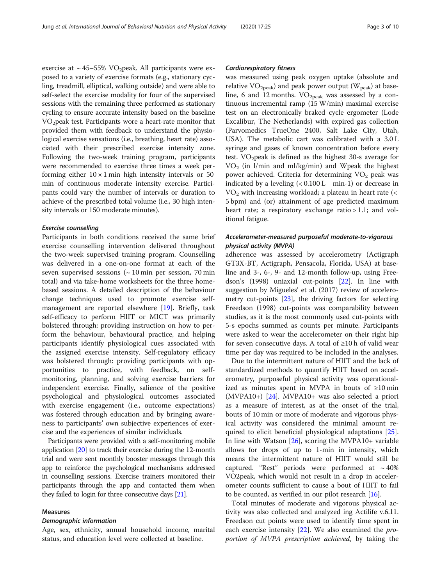exercise at  $\sim$  45–55% VO<sub>2</sub>peak. All participants were exposed to a variety of exercise formats (e.g., stationary cycling, treadmill, elliptical, walking outside) and were able to self-select the exercise modality for four of the supervised sessions with the remaining three performed as stationary cycling to ensure accurate intensity based on the baseline VO<sub>2</sub>peak test. Participants wore a heart-rate monitor that provided them with feedback to understand the physiological exercise sensations (i.e., breathing, heart rate) associated with their prescribed exercise intensity zone. Following the two-week training program, participants were recommended to exercise three times a week performing either  $10 \times 1$  min high intensity intervals or 50 min of continuous moderate intensity exercise. Participants could vary the number of intervals or duration to achieve of the prescribed total volume (i.e., 30 high intensity intervals or 150 moderate minutes).

# Exercise counselling

Participants in both conditions received the same brief exercise counselling intervention delivered throughout the two-week supervised training program. Counselling was delivered in a one-on-one format at each of the seven supervised sessions ( $\sim 10$  min per session, 70 min total) and via take-home worksheets for the three homebased sessions. A detailed description of the behaviour change techniques used to promote exercise selfmanagement are reported elsewhere [\[19](#page-9-0)]. Briefly, task self-efficacy to perform HIIT or MICT was primarily bolstered through: providing instruction on how to perform the behaviour, behavioural practice, and helping participants identify physiological cues associated with the assigned exercise intensity. Self-regulatory efficacy was bolstered through: providing participants with opportunities to practice, with feedback, on selfmonitoring, planning, and solving exercise barriers for independent exercise. Finally, salience of the positive psychological and physiological outcomes associated with exercise engagement (i.e., outcome expectations) was fostered through education and by bringing awareness to participants' own subjective experiences of exercise and the experiences of similar individuals.

Participants were provided with a self-monitoring mobile application [\[20\]](#page-9-0) to track their exercise during the 12-month trial and were sent monthly booster messages through this app to reinforce the psychological mechanisms addressed in counselling sessions. Exercise trainers monitored their participants through the app and contacted them when they failed to login for three consecutive days [\[21](#page-9-0)].

# Measures

# Demographic information

Age, sex, ethnicity, annual household income, marital status, and education level were collected at baseline.

# Cardiorespiratory fitness

was measured using peak oxygen uptake (absolute and relative  $VO<sub>2peak</sub>$ ) and peak power output ( $W<sub>peak</sub>$ ) at baseline, 6 and 12 months.  $VO_{2peak}$  was assessed by a continuous incremental ramp (15 W/min) maximal exercise test on an electronically braked cycle ergometer (Lode Excalibur, The Netherlands) with expired gas collection (Parvomedics TrueOne 2400, Salt Lake City, Utah, USA). The metabolic cart was calibrated with a 3.0 L syringe and gases of known concentration before every test.  $VO<sub>2</sub>peak$  is defined as the highest 30-s average for  $VO<sub>2</sub>$  (in l/min and ml/kg/min) and Wpeak the highest power achieved. Criteria for determining  $VO<sub>2</sub>$  peak was indicated by a leveling (< 0.100 L min-1) or decrease in  $VO<sub>2</sub>$  with increasing workload; a plateau in heart rate (< 5 bpm) and (or) attainment of age predicted maximum heart rate; a respiratory exchange ratio > 1.1; and volitional fatigue.

# Accelerometer-measured purposeful moderate-to-vigorous physical activity (MVPA)

adherence was assessed by accelerometry (Actigraph GT3X-BT, Actigraph, Pensacola, Florida, USA) at baseline and 3-, 6-, 9- and 12-month follow-up, using Freedson's (1998) uniaxial cut-points [[22\]](#page-9-0). In line with suggestion by Migueles' et al. (2017) review of accelerometry cut-points [\[23\]](#page-9-0), the driving factors for selecting Freedson (1998) cut-points was comparability between studies, as it is the most commonly used cut-points with 5-s epochs summed as counts per minute. Participants were asked to wear the accelerometer on their right hip for seven consecutive days. A total of ≥10 h of valid wear time per day was required to be included in the analyses.

Due to the intermittent nature of HIIT and the lack of standardized methods to quantify HIIT based on accelerometry, purposeful physical activity was operationalized as minutes spent in MVPA in bouts of ≥10 min (MVPA10+) [[24](#page-9-0)]. MVPA10+ was also selected a priori as a measure of interest, as at the onset of the trial, bouts of 10 min or more of moderate and vigorous physical activity was considered the minimal amount required to elicit beneficial physiological adaptations [\[25](#page-9-0)]. In line with Watson  $[26]$  $[26]$ , scoring the MVPA10+ variable allows for drops of up to 1-min in intensity, which means the intermittent nature of HIIT would still be captured. "Rest" periods were performed at  $\sim$  40% VO2peak, which would not result in a drop in accelerometer counts sufficient to cause a bout of HIIT to fail to be counted, as verified in our pilot research [\[16](#page-9-0)].

Total minutes of moderate and vigorous physical activity was also collected and analyzed ing Actilife v.6.11. Freedson cut points were used to identify time spent in each exercise intensity [\[22\]](#page-9-0). We also examined the *pro*portion of MVPA prescription achieved, by taking the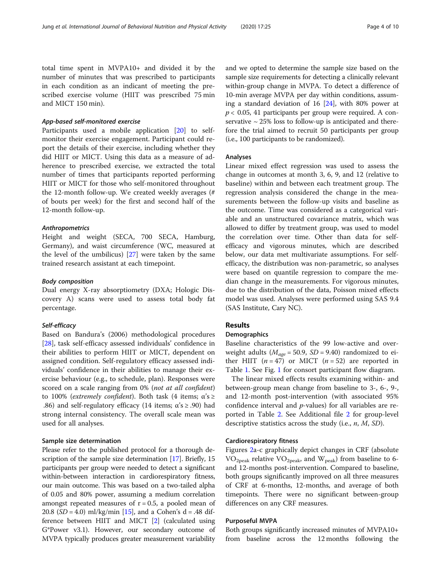total time spent in MVPA10+ and divided it by the number of minutes that was prescribed to participants in each condition as an indicant of meeting the prescribed exercise volume (HIIT was prescribed 75 min and MICT 150 min).

# App-based self-monitored exercise

Participants used a mobile application [\[20](#page-9-0)] to selfmonitor their exercise engagement. Participant could report the details of their exercise, including whether they did HIIT or MICT. Using this data as a measure of adherence to prescribed exercise, we extracted the total number of times that participants reported performing HIIT or MICT for those who self-monitored throughout the 12-month follow-up. We created weekly averages (# of bouts per week) for the first and second half of the 12-month follow-up.

# Anthropometrics

Height and weight (SECA, 700 SECA, Hamburg, Germany), and waist circumference (WC, measured at the level of the umbilicus) [[27\]](#page-9-0) were taken by the same trained research assistant at each timepoint.

# Body composition

Dual energy X-ray absorptiometry (DXA; Hologic Discovery A) scans were used to assess total body fat percentage.

#### Self-efficacy

Based on Bandura's (2006) methodological procedures [[28\]](#page-9-0), task self-efficacy assessed individuals' confidence in their abilities to perform HIIT or MICT, dependent on assigned condition. Self-regulatory efficacy assessed individuals' confidence in their abilities to manage their exercise behaviour (e.g., to schedule, plan). Responses were scored on a scale ranging from 0% (not at all confident) to 100% (*extremely confident*). Both task (4 items;  $α's \ge$ .86) and self-regulatory efficacy (14 items;  $\alpha's \geq .90$ ) had strong internal consistency. The overall scale mean was used for all analyses.

# Sample size determination

Please refer to the published protocol for a thorough description of the sample size determination [\[17](#page-9-0)]. Briefly, 15 participants per group were needed to detect a significant within-between interaction in cardiorespiratory fitness, our main outcome. This was based on a two-tailed alpha of 0.05 and 80% power, assuming a medium correlation amongst repeated measures of  $r = 0.5$ , a pooled mean of 20.8  $(SD = 4.0)$  ml/kg/min [\[15\]](#page-9-0), and a Cohen's d = .48 difference between HIIT and MICT [[2\]](#page-9-0) (calculated using G\*Power v3.1). However, our secondary outcome of MVPA typically produces greater measurement variability and we opted to determine the sample size based on the sample size requirements for detecting a clinically relevant within-group change in MVPA. To detect a difference of 10-min average MVPA per day within conditions, assuming a standard deviation of 16 [[24](#page-9-0)], with 80% power at  $p < 0.05$ , 41 participants per group were required. A conservative  $\sim$  25% loss to follow-up is anticipated and therefore the trial aimed to recruit 50 participants per group (i.e., 100 participants to be randomized).

#### Analyses

Linear mixed effect regression was used to assess the change in outcomes at month 3, 6, 9, and 12 (relative to baseline) within and between each treatment group. The regression analysis considered the change in the measurements between the follow-up visits and baseline as the outcome. Time was considered as a categorical variable and an unstructured covariance matrix, which was allowed to differ by treatment group, was used to model the correlation over time. Other than data for selfefficacy and vigorous minutes, which are described below, our data met multivariate assumptions. For selfefficacy, the distribution was non-parametric, so analyses were based on quantile regression to compare the median change in the measurements. For vigorous minutes, due to the distribution of the data, Poisson mixed effects model was used. Analyses were performed using SAS 9.4 (SAS Institute, Cary NC).

# Results

# **Demographics**

Baseline characteristics of the 99 low-active and overweight adults ( $M_{\text{age}}$  = 50.9, SD = 9.40) randomized to either HIIT  $(n = 47)$  or MICT  $(n = 52)$  are reported in Table [1.](#page-4-0) See Fig. [1](#page-5-0) for consort participant flow diagram.

The linear mixed effects results examining within- and between-group mean change from baseline to 3-, 6-, 9-, and 12-month post-intervention (with associated 95% confidence interval and p-values) for all variables are reported in Table [2.](#page-6-0) See Additional file [2](#page-8-0) for group-level descriptive statistics across the study (i.e.,  $n$ ,  $M$ ,  $SD$ ).

# Cardiorespiratory fitness

Figures [2](#page-7-0)a-c graphically depict changes in CRF (absolute  $VO<sub>2peak</sub>$  relative  $VO<sub>2peak</sub>$  and  $W<sub>peak</sub>$ ) from baseline to 6and 12-months post-intervention. Compared to baseline, both groups significantly improved on all three measures of CRF at 6-months, 12-months, and average of both timepoints. There were no significant between-group differences on any CRF measures.

# Purposeful MVPA

Both groups significantly increased minutes of MVPA10+ from baseline across the 12 months following the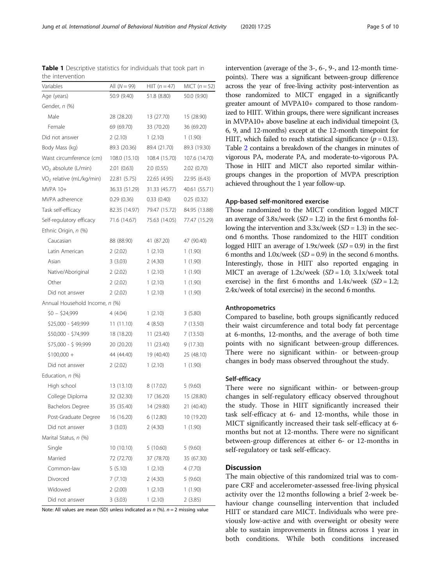<span id="page-4-0"></span>

| Jung et al. International Journal of Behavioral Nutrition and Physical Activity | (2020) 17:25 | Page 5 of 10 |
|---------------------------------------------------------------------------------|--------------|--------------|
|                                                                                 |              |              |

intervention (average of the 3-, 6-, 9-, and 12-month timepoints). There was a significant between-group difference across the year of free-living activity post-intervention as those randomized to MICT engaged in a significantly greater amount of MVPA10+ compared to those randomized to HIIT. Within groups, there were significant increases in MVPA10+ above baseline at each individual timepoint (3, 6, 9, and 12-months) except at the 12-month timepoint for HIIT, which failed to reach statistical significance  $(p = 0.13)$ . Table [2](#page-6-0) contains a breakdown of the changes in minutes of vigorous PA, moderate PA, and moderate-to-vigorous PA. Those in HIIT and MICT also reported similar withingroups changes in the proportion of MVPA prescription achieved throughout the 1 year follow-up.

# App-based self-monitored exercise

Those randomized to the MICT condition logged MICT an average of  $3.8x$ /week (SD = 1.2) in the first 6 months following the intervention and  $3.3x$ /week (*SD* = 1.3) in the second 6 months. Those randomized to the HIIT condition logged HIIT an average of  $1.9x$ /week (SD = 0.9) in the first 6 months and  $1.0x$ /week (*SD* = 0.9) in the second 6 months. Interestingly, those in HIIT also reported engaging in MICT an average of  $1.2x$ /week (SD = 1.0; 3.1x/week total exercise) in the first 6 months and  $1.4x$ /week  $(SD = 1.2$ ; 2.4x/week of total exercise) in the second 6 months.

# Anthropometrics

Compared to baseline, both groups significantly reduced their waist circumference and total body fat percentage at 6-months, 12-months, and the average of both time points with no significant between-group differences. There were no significant within- or between-group changes in body mass observed throughout the study.

# Self-efficacy

There were no significant within- or between-group changes in self-regulatory efficacy observed throughout the study. Those in HIIT significantly increased their task self-efficacy at 6- and 12-months, while those in MICT significantly increased their task self-efficacy at 6 months but not at 12-months. There were no significant between-group differences at either 6- or 12-months in self-regulatory or task self-efficacy.

# **Discussion**

The main objective of this randomized trial was to compare CRF and accelerometer-assessed free-living physical activity over the 12 months following a brief 2-week behaviour change counselling intervention that included HIIT or standard care MICT. Individuals who were previously low-active and with overweight or obesity were able to sustain improvements in fitness across 1 year in both conditions. While both conditions increased

Table 1 Descriptive statistics for individuals that took part in the intervention

| Variables                                                                         | All $(N = 99)$ | $HIT (n = 47)$ | $MICT (n = 52)$ |
|-----------------------------------------------------------------------------------|----------------|----------------|-----------------|
| Age (years)                                                                       | 50.9 (9.40)    | 51.8 (8.80)    | 50.0 (9.90)     |
| Gender, n (%)                                                                     |                |                |                 |
| Male                                                                              | 28 (28.20)     | 13 (27.70)     | 15 (28.90)      |
| Female                                                                            | 69 (69.70)     | 33 (70.20)     | 36 (69.20)      |
| Did not answer                                                                    | 2(2.10)        | 1(2.10)        | 1(1.90)         |
| Body Mass (kg)                                                                    | 89.3 (20.36)   | 89.4 (21.70)   | 89.3 (19.30)    |
| Waist circumference (cm)                                                          | 108.0 (15.10)  | 108.4 (15.70)  | 107.6 (14.70)   |
| VO <sub>2</sub> absolute (L/min)                                                  | 2.01(0.63)     | 2.0(0.55)      | 2.02(0.70)      |
| VO <sub>2</sub> relative (mL/kg/min)                                              | 22.81 (5.75)   | 22.65 (4.95)   | 22.95 (6.43)    |
| MVPA 10+                                                                          | 36.33 (51.29)  | 31.33 (45.77)  | 40.61 (55.71)   |
| MVPA adherence                                                                    | 0.29(0.36)     | 0.33(0.40)     | 0.25(0.32)      |
| Task self-efficacy                                                                | 82.35 (14.97)  | 79.47 (15.72)  | 84.95 (13.88)   |
| Self-regulatory efficacy                                                          | 71.6 (14.67)   | 75.63 (14.05)  | 77.47 (15.29)   |
| Ethnic Origin, n (%)                                                              |                |                |                 |
| Caucasian                                                                         | 88 (88.90)     | 41 (87.20)     | 47 (90.40)      |
| Latin American                                                                    | 2(2.02)        | 1(2.10)        | 1(1.90)         |
| Asian                                                                             | 3(3.03)        | 2(4.30)        | 1(1.90)         |
| Native/Aboriginal                                                                 | 2(2.02)        | 1(2.10)        | 1(1.90)         |
| Other                                                                             | 2(2.02)        | 1(2.10)        | 1(1.90)         |
| Did not answer                                                                    | 2(2.02)        | 1(2.10)        | 1(1.90)         |
| Annual Household Income, n (%)                                                    |                |                |                 |
| \$0 – \$24,999                                                                    | 4(4.04)        | 1(2.10)        | 3(5.80)         |
| \$25,000 - \$49,999                                                               | 11 (11.10)     | 4 (8.50)       | 7 (13.50)       |
| \$50,000 - \$74,999                                                               | 18 (18.20)     | 11 (23.40)     | 7(13.50)        |
| \$75,000 - \$99,999                                                               | 20 (20.20)     | 11 (23.40)     | 9 (17.30)       |
| $$100,000 +$                                                                      | 44 (44.40)     | 19 (40.40)     | 25 (48.10)      |
| Did not answer                                                                    | 2(2.02)        | 1(2.10)        | 1(1.90)         |
| Education, n (%)                                                                  |                |                |                 |
| High school                                                                       | 13 (13.10)     | 8 (17.02)      | 5(9.60)         |
| College Diploma                                                                   | 32 (32.30)     | 17 (36.20)     | 15 (28.80)      |
| Bachelors Degree                                                                  | 35 (35.40)     | 14 (29.80)     | 21 (40.40)      |
| Post-Graduate Degree                                                              | 16 (16.20)     | 6 (12.80)      | 10 (19.20)      |
| Did not answer                                                                    | 3(3.03)        | 2(4.30)        | 1(1.90)         |
| Marital Status, n (%)                                                             |                |                |                 |
| Single                                                                            | 10(10.10)      | 5(10.60)       | 5(9.60)         |
| Married                                                                           | 72 (72.70)     | 37 (78.70)     | 35 (67.30)      |
| Common-law                                                                        | 5(5.10)        | 1(2.10)        | 4(7.70)         |
| Divorced                                                                          | 7(7.10)        | 2(4.30)        | 5(9.60)         |
| Widowed                                                                           | 2(2.00)        | 1(2.10)        | 1(1.90)         |
| Did not answer                                                                    | 3(3.03)        | 1(2.10)        | 2(3.85)         |
| Note: All values are mean (SD) unless indicated as $n$ (%). $n = 2$ missing value |                |                |                 |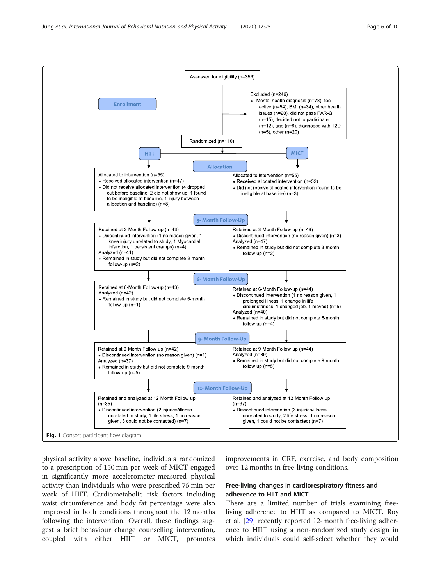<span id="page-5-0"></span>Jung et al. International Journal of Behavioral Nutrition and Physical Activity (2020) 17:25 Page 6 of 10



physical activity above baseline, individuals randomized to a prescription of 150 min per week of MICT engaged in significantly more accelerometer-measured physical activity than individuals who were prescribed 75 min per week of HIIT. Cardiometabolic risk factors including waist circumference and body fat percentage were also improved in both conditions throughout the 12 months following the intervention. Overall, these findings suggest a brief behaviour change counselling intervention, coupled with either HIIT or MICT, promotes

improvements in CRF, exercise, and body composition over 12 months in free-living conditions.

# Free-living changes in cardiorespiratory fitness and adherence to HIIT and MICT

There are a limited number of trials examining freeliving adherence to HIIT as compared to MICT. Roy et al. [[29\]](#page-9-0) recently reported 12-month free-living adherence to HIIT using a non-randomized study design in which individuals could self-select whether they would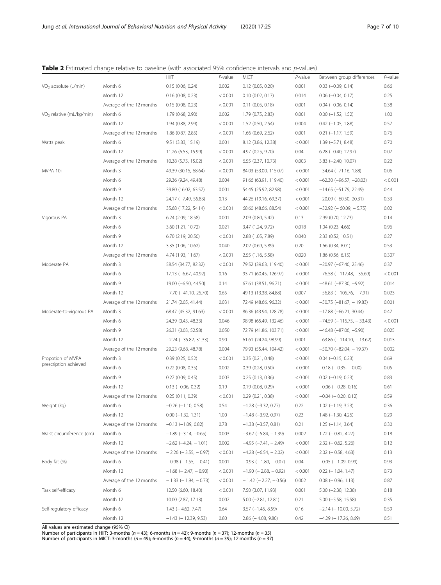<span id="page-6-0"></span>

| Table 2 Estimated change relative to baseline (with associated 95% confidence intervals and p-values) |  |  |  |  |  |  |  |  |  |  |  |  |  |
|-------------------------------------------------------------------------------------------------------|--|--|--|--|--|--|--|--|--|--|--|--|--|
|-------------------------------------------------------------------------------------------------------|--|--|--|--|--|--|--|--|--|--|--|--|--|

|                                      |                          | <b>HIIT</b>                   | $P$ -value | <b>MICT</b>                   | $P$ -value | Between group differences         | $P$ -value |
|--------------------------------------|--------------------------|-------------------------------|------------|-------------------------------|------------|-----------------------------------|------------|
| VO <sub>2</sub> absolute (L/min)     | Month 6                  | 0.15(0.06, 0.24)              | 0.002      | $0.12$ (0.05, 0.20)           | 0.001      | $0.03$ $(-0.09, 0.14)$            | 0.66       |
|                                      | Month 12                 | $0.16$ (0.08, 0.23)           | < 0.001    | $0.10$ $(0.02, 0.17)$         | 0.014      | $0.06$ ( $-0.04$ , $0.17$ )       | 0.25       |
|                                      | Average of the 12 months | 0.15(0.08, 0.23)              | < 0.001    | $0.11$ $(0.05, 0.18)$         | 0.001      | $0.04 (-0.06, 0.14)$              | 0.38       |
| VO <sub>2</sub> relative (mL/kg/min) | Month 6                  | 1.79 (0.68, 2.90)             | 0.002      | 1.79 (0.75, 2.83)             | 0.001      | $0.00 (-1.52, 1.52)$              | 1.00       |
|                                      | Month 12                 | 1.94 (0.88, 2.99)             | < 0.001    | 1.52 (0.50, 2.54)             | 0.004      | $0.42$ (-1.05, 1.88)              | 0.57       |
|                                      | Average of the 12 months | 1.86 (0.87, 2.85)             | < 0.001    | 1.66 (0.69, 2.62)             | 0.001      | $0.21 (-1.17, 1.59)$              | 0.76       |
| Watts peak                           | Month 6                  | 9.51 (3.83, 15.19)            | 0.001      | 8.12 (3.86, 12.38)            | < 0.001    | $1.39(-5.71, 8.48)$               | 0.70       |
|                                      | Month 12                 | 11.26 (6.53, 15.99)           | < 0.001    | 4.97 (0.25, 9.70)             | 0.04       | $6.28$ (-0.40, 12.97)             | 0.07       |
|                                      | Average of the 12 months | 10.38 (5.75, 15.02)           | < 0.001    | 6.55 (2.37, 10.73)            | 0.003      | $3.83$ (-2.40, 10.07)             | 0.22       |
| MVPA 10+                             | Month 3                  | 49.39 (30.15, 68.64)          | < 0.001    | 84.03 (53.00, 115.07)         | < 0.001    | $-34.64$ $(-71.16, 1.88)$         | 0.06       |
|                                      | Month 6                  | 29.36 (9.24, 49.48)           | 0.004      | 91.66 (63.91, 119.40)         | < 0.001    | $-62.30$ ( $-96.57$ , $-28.03$ )  | < 0.001    |
|                                      | Month 9                  | 39.80 (16.02, 63.57)          | 0.001      | 54.45 (25.92, 82.98)          | < 0.001    | $-14.65$ (-51.79, 22.49)          | 0.44       |
|                                      | Month 12                 | 24.17 (-7.49, 55.83)          | 0.13       | 44.26 (19.16, 69.37)          | < 0.001    | $-20.09$ ( $-60.50$ , 20.31)      | 0.33       |
|                                      | Average of the 12 months | 35.68 (17.22, 54.14)          | < 0.001    | 68.60 (48.66, 88.54)          | < 0.001    | $-32.92$ ( $-60.09$ , $-5.75$ )   | 0.02       |
| Vigorous PA                          | Month 3                  | 6.24 (2.09, 18.58)            | 0.001      | 2.09 (0.80, 5.42)             | 0.13       | 2.99 (0.70, 12.73)                | 0.14       |
|                                      | Month 6                  | 3.60 (1.21, 10.72)            | 0.021      | 3.47 (1.24, 9.72)             | 0.018      | 1.04 (0.23, 4.66)                 | 0.96       |
|                                      | Month 9                  | 6.70 (2.19, 20.50)            | < 0.001    | 2.88 (1.05, 7.89)             | 0.040      | 2.33 (0.52, 10.51)                | 0.27       |
|                                      | Month 12                 | 3.35 (1.06, 10.62)            | 0.040      | 2.02 (0.69, 5.89)             | 0.20       | 1.66 (0.34, 8.01)                 | 0.53       |
|                                      | Average of the 12 months | 4.74 (1.93, 11.67)            | < 0.001    | 2.55 (1.16, 5.58)             | 0.020      | 1.86 (0.56, 6.15)                 | 0.307      |
| Moderate PA                          | Month 3                  | 58.54 (34.77, 82.32)          | < 0.001    | 79.52 (39.63, 119.40)         | < 0.001    | $-20.97$ ( $-67.40$ , 25.46)      | 0.37       |
|                                      | Month 6                  | 17.13 (-6.67, 40.92)          | 0.16       | 93.71 (60.45, 126.97)         | < 0.001    | $-76.58$ (-117.48, -35.69)        | < 0.001    |
|                                      | Month 9                  | 19.00 (-6.50, 44.50)          | 0.14       | 67.61 (38.51, 96.71)          | < 0.001    | $-48.61$ $(-87.30, -9.92)$        | 0.014      |
|                                      | Month 12                 | $-7.70$ $(-41.10, 25.70)$     | 0.65       | 49.13 (13.38, 84.88)          | 0.007      | $-56.83$ ( $-105.76$ , $-7.91$ )  | 0.023      |
|                                      | Average of the 12 months | 21.74 (2.05, 41.44)           | 0.031      | 72.49 (48.66, 96.32)          | < 0.001    | $-50.75$ ( $-81.67$ , $-19.83$ )  | 0.001      |
| Moderate-to-vigorous PA              | Month 3                  | 68.47 (45.32, 91.63)          | < 0.001    | 86.36 (43.94, 128.78)         | < 0.001    | $-17.88$ (-66.21, 30.44)          | 0.47       |
|                                      | Month 6                  | 24.39 (0.45, 48.33)           | 0.046      | 98.98 (65.49, 132.46)         | < 0.001    | $-74.59$ (-115.75, -33.43)        | < 0.001    |
|                                      | Month 9                  | 26.31 (0.03, 52.58)           | 0.050      | 72.79 (41.86, 103.71)         | < 0.001    | $-46.48$ $(-87.06, -5.90)$        | 0.025      |
|                                      | Month 12                 | $-2.24 (-35.82, 31.33)$       | 0.90       | 61.61 (24.24, 98.99)          | 0.001      | $-63.86$ ( $-114.10$ , $-13.62$ ) | 0.013      |
|                                      | Average of the 12 months | 29.23 (9.68, 48.78)           | 0.004      | 79.93 (55.44, 104.42)         | < 0.001    | $-50.70$ ( $-82.04$ , $-19.37$ )  | 0.002      |
| Propotion of MVPA                    | Month 3                  | 0.39(0.25, 0.52)              | < 0.001    | 0.35(0.21, 0.48)              | < 0.001    | $0.04 (-0.15, 0.23)$              | 0.69       |
| prescription achieved                | Month 6                  | $0.22$ (0.08, 0.35)           | 0.002      | 0.39(0.28, 0.50)              | < 0.001    | $-0.18$ ( $-0.35$ , $-0.00$ )     | 0.05       |
|                                      | Month 9                  | $0.27$ (0.09, 0.45)           | 0.003      | 0.25(0.13, 0.36)              | < 0.001    | $0.02$ (-0.19, 0.23)              | 0.83       |
|                                      | Month 12                 | $0.13$ $(-0.06, 0.32)$        | 0.19       | 0.19(0.08, 0.29)              | < 0.001    | $-0.06$ ( $-0.28$ , 0.16)         | 0.61       |
|                                      | Average of the 12 months | 0.25(0.11, 0.39)              | < 0.001    | 0.29(0.21, 0.38)              | < 0.001    | $-0.04$ ( $-0.20$ , 0.12)         | 0.59       |
| Weight (kg)                          | Month 6                  | $-0.26$ ( $-1.10$ , 0.58)     | 0.54       | $-1.28$ ( $-3.32$ , 0.77)     | 0.22       | $1.02$ (-1.19, 3.23)              | 0.36       |
|                                      | Month 12                 | $0.00 (-1.32, 1.31)$          | 1.00       | $-1.48$ ( $-3.92$ , 0.97)     | 0.23       | $1.48$ (-1.30, 4.25)              | 0.29       |
|                                      | Average of the 12 months | $-0.13$ $(-1.09, 0.82)$       | 0.78       | $-1.38$ ( $-3.57$ , 0.81)     | 0.21       | $1.25 (-1.14, 3.64)$              | 0.30       |
| Waist circumference (cm)             | Month 6                  | $-1.89$ ( $-3.14$ , $-0.65$ ) | 0.003      | $-3.62$ ( $-5.84$ , $-1.39$ ) | 0.002      | $1.72$ (-0.82, 4.27)              | 0.18       |
|                                      | Month 12                 | $-2.62$ ( $-4.24$ , $-1.01$ ) | 0.002      | $-4.95$ $(-7.41, -2.49)$      | < 0.001    | $2.32$ (-0.62, 5.26)              | 0.12       |
|                                      | Average of the 12 months | $-2.26$ ( $-3.55$ , $-0.97$ ) | < 0.001    | $-4.28$ (-6.54, -2.02)        | < 0.001    | $2.02$ (-0.58, 4.63)              | 0.13       |
| Body fat (%)                         | Month 6                  | $-0.98$ ( $-1.55$ , $-0.41$ ) | 0.001      | $-0.93$ (-1.80, -0.07)        | 0.04       | $-0.05$ ( $-1.09$ , 0.99)         | 0.93       |
|                                      | Month 12                 | $-1.68$ ( $-2.47$ , $-0.90$ ) | < 0.001    | $-1.90$ ( $-2.88$ , $-0.92$ ) | < 0.001    | $0.22$ (-1.04, 1.47)              | 0.73       |
|                                      | Average of the 12 months | $-1.33$ ( $-1.94$ , $-0.73$ ) | < 0.001    | $-1.42$ ( $-2.27$ , $-0.56$ ) | 0.002      | $0.08$ ( $-0.96$ , 1.13)          | 0.87       |
| Task self-efficacy                   | Month 6                  | 12.50 (6.60, 18.40)           | < 0.001    | 7.50 (3.07, 11.93)            | 0.001      | 5.00 (-2.38, 12.38)               | 0.18       |
|                                      | Month 12                 | 10.00 (2.87, 17.13)           | 0.007      | $5.00 (-2.81, 12.81)$         | 0.21       | $5.00 (-5.58, 15.58)$             | 0.35       |
| Self-regulatory efficacy             | Month 6                  | $1.43$ (-4.62, 7.47)          | 0.64       | $3.57$ (-1.45, 8.59)          | 0.16       | $-2.14 (-10.00, 5.72)$            | 0.59       |
|                                      | Month 12                 | $-1.43$ (-12.39, 9.53)        | 0.80       | $2.86$ ( $-4.08$ , $9.80$ )   | 0.42       | $-4.29$ ( $-17.26$ , 8.69)        | 0.51       |

All values are estimated change (95% Cl)<br>Number of participants in HIIT: 3-months (*n* = 43); 6-months (*n* = 42); 9-months (*n* = 37); 12-months (*n* = 35)<br>Number of participants in MICT: 3-months (*n* = 49); 6-months (*n*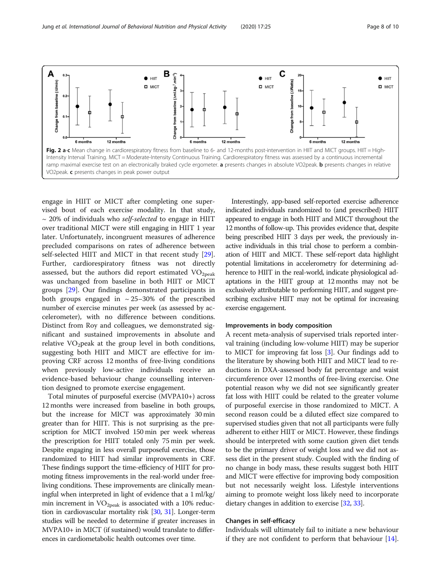<span id="page-7-0"></span>

engage in HIIT or MICT after completing one supervised bout of each exercise modality. In that study,  $\sim$  20% of individuals who self-selected to engage in HIIT over traditional MICT were still engaging in HIIT 1 year later. Unfortunately, incongruent measures of adherence precluded comparisons on rates of adherence between self-selected HIIT and MICT in that recent study [\[29](#page-9-0)]. Further, cardiorespiratory fitness was not directly assessed, but the authors did report estimated  $VO<sub>2peak</sub>$ was unchanged from baseline in both HIIT or MICT groups [\[29\]](#page-9-0). Our findings demonstrated participants in both groups engaged in  $\sim$  25–30% of the prescribed number of exercise minutes per week (as assessed by accelerometer), with no difference between conditions. Distinct from Roy and colleagues, we demonstrated significant and sustained improvements in absolute and relative  $VO<sub>2</sub>peak$  at the group level in both conditions, suggesting both HIIT and MICT are effective for improving CRF across 12 months of free-living conditions when previously low-active individuals receive an evidence-based behaviour change counselling intervention designed to promote exercise engagement.

Total minutes of purposeful exercise (MVPA10+) across 12 months were increased from baseline in both groups, but the increase for MICT was approximately 30 min greater than for HIIT. This is not surprising as the prescription for MICT involved 150 min per week whereas the prescription for HIIT totaled only 75 min per week. Despite engaging in less overall purposeful exercise, those randomized to HIIT had similar improvements in CRF. These findings support the time-efficiency of HIIT for promoting fitness improvements in the real-world under freeliving conditions. These improvements are clinically meaningful when interpreted in light of evidence that a 1 ml/kg/ min increment in  $\rm VO_{2peak}$  is associated with a 10% reduction in cardiovascular mortality risk [\[30,](#page-9-0) [31\]](#page-9-0). Longer-term studies will be needed to determine if greater increases in MVPA10+ in MICT (if sustained) would translate to differences in cardiometabolic health outcomes over time.

Interestingly, app-based self-reported exercise adherence indicated individuals randomized to (and prescribed) HIIT appeared to engage in both HIIT and MICT throughout the 12 months of follow-up. This provides evidence that, despite being prescribed HIIT 3 days per week, the previously inactive individuals in this trial chose to perform a combination of HIIT and MICT. These self-report data highlight potential limitations in accelerometry for determining adherence to HIIT in the real-world, indicate physiological adaptations in the HIIT group at 12 months may not be exclusively attributable to performing HIIT, and suggest prescribing exclusive HIIT may not be optimal for increasing exercise engagement.

# Improvements in body composition

A recent meta-analysis of supervised trials reported interval training (including low-volume HIIT) may be superior to MICT for improving fat loss [\[3\]](#page-9-0). Our findings add to the literature by showing both HIIT and MICT lead to reductions in DXA-assessed body fat percentage and waist circumference over 12 months of free-living exercise. One potential reason why we did not see significantly greater fat loss with HIIT could be related to the greater volume of purposeful exercise in those randomized to MICT. A second reason could be a diluted effect size compared to supervised studies given that not all participants were fully adherent to either HIIT or MICT. However, these findings should be interpreted with some caution given diet tends to be the primary driver of weight loss and we did not assess diet in the present study. Coupled with the finding of no change in body mass, these results suggest both HIIT and MICT were effective for improving body composition but not necessarily weight loss. Lifestyle interventions aiming to promote weight loss likely need to incorporate dietary changes in addition to exercise [\[32,](#page-9-0) [33](#page-9-0)].

# Changes in self-efficacy

Individuals will ultimately fail to initiate a new behaviour if they are not confident to perform that behaviour [\[14](#page-9-0)].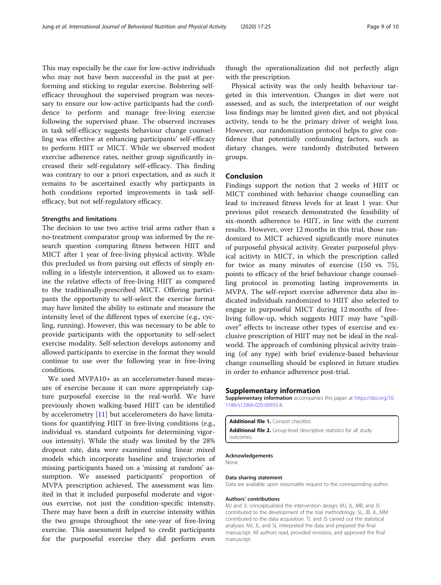<span id="page-8-0"></span>This may especially be the case for low-active individuals who may not have been successful in the past at performing and sticking to regular exercise. Bolstering selfefficacy throughout the supervised program was necessary to ensure our low-active participants had the confidence to perform and manage free-living exercise following the supervised phase. The observed increases in task self-efficacy suggests behaviour change counselling was effective at enhancing participants' self-efficacy to perform HIIT or MICT. While we observed modest exercise adherence rates, neither group significantly increased their self-regulatory self-efficacy. This finding was contrary to our a priori expectation, and as such it remains to be ascertained exactly why particpants in both conditions reported improvements in task selfefficacy, but not self-regulatory efficacy.

# Strengths and limitations

The decision to use two active trial arms rather than a no-treatment comparator group was informed by the research question comparing fitness between HIIT and MICT after 1 year of free-living physical activity. While this precluded us from parsing out effects of simply enrolling in a lifestyle intervention, it allowed us to examine the relative effects of free-living HIIT as compared to the traditionally-prescribed MICT. Offering participants the opportunity to self-select the exercise format may have limited the ability to estimate and measure the intensity level of the different types of exercise (e.g., cycling, running). However, this was necessary to be able to provide participants with the opportunity to self-select exercise modality. Self-selection develops autonomy and allowed participants to exercise in the format they would continue to use over the following year in free-living conditions.

We used MVPA10+ as an accelerometer-based measure of exercise because it can more appropriately capture purposeful exercise in the real-world. We have previously shown walking-based HIIT can be identified by accelerometry [\[11](#page-9-0)] but accelerometers do have limitations for quantifying HIIT in free-living conditions (e.g., individual vs. standard cutpoints for determining vigorous intensity). While the study was limited by the 28% dropout rate, data were examined using linear mixed models which incorporate baseline and trajectories of missing participants based on a 'missing at random' assumption. We assessed participants' proportion of MVPA prescription achieved. The assessment was limited in that it included purposeful moderate and vigorous exercise, not just the condition-specific intensity. There may have been a drift in exercise intensity within the two groups throughout the one-year of free-living exercise. This assessment helped to credit participants for the purposeful exercise they did perform even

though the operationalization did not perfectly align with the prescription.

Physical activity was the only health behaviour targeted in this intervention. Changes in diet were not assessed, and as such, the interpretation of our weight loss findings may be limited given diet, and not physical activity, tends to be the primary driver of weight loss. However, our randomization protocol helps to give confidence that potentially confounding factors, such as dietary changes, were randomly distributed between groups.

# Conclusion

Findings support the notion that 2 weeks of HIIT or MICT combined with behavior change counselling can lead to increased fitness levels for at least 1 year. Our previous pilot research demonstrated the feasibility of six-month adherence to HIIT, in line with the current results. However, over 12 months in this trial, those randomized to MICT achieved significantly more minutes of purposeful physical activity. Greater purposeful physical acitivty in MICT, in which the prescription called for twice as many minutes of exercise (150 vs. 75), points to efficacy of the brief behaviour change counselling protocol in promoting lasting improvements in MVPA. The self-report exercise adherence data also indicated individuals randomized to HIIT also selected to engage in purposeful MICT during 12 months of freeliving follow-up, which suggests HIIT may have "spillover" effects to increase other types of exercise and exclusive prescription of HIIT may not be ideal in the realworld. The approach of combining physical acivity training (of any type) with brief evidence-based behaviour change counselling should be explored in future studies in order to enhance adherence post-trial.

#### Supplementary information

Supplementary information accompanies this paper at [https://doi.org/10.](https://doi.org/10.1186/s12966-020-00933-8) [1186/s12966-020-00933-8](https://doi.org/10.1186/s12966-020-00933-8).

Additional file 1. Consort checklist. Additional file 2. Group-level descriptive statistics for all study outcomes.

#### Acknowledgements

None.

#### Data sharing statement

Data are available upon reasonable request to the corresponding author.

### Authors' contributions

MJ and JL conceptualized the intervention design; MJ, JL, MB, and JS contributed to the development of the trial methodology. SL, JB, JL, MM contributed to the data acquisition. TL and JS carried out the statistical analyses. MJ, JL, and SL interpreted the data and prepared the final manuscript. All authors read, provided revisions, and approved the final manuscript.